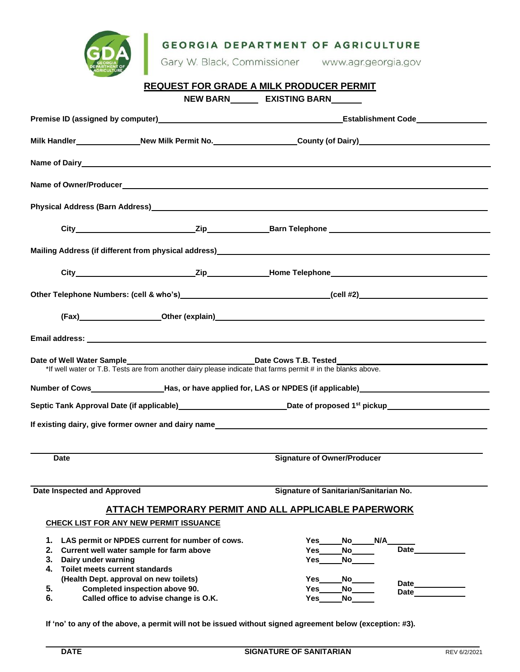| <b>GDA</b> | <b>GEORGIA DEPARTMENT OF AGRICULTURE</b> |                     |
|------------|------------------------------------------|---------------------|
|            | Gary W. Black, Commissioner              | www.agr.georgia.gov |

## **REQUEST FOR GRADE A MILK PRODUCER PERMIT NEW BARN EXISTING BARN**

|                                                                                                                                                                                 |                                                                                   | Milk Handler_______________New Milk Permit No.___________________County (of Dairy)__________________                                                                                                                           |                     |  |  |  |
|---------------------------------------------------------------------------------------------------------------------------------------------------------------------------------|-----------------------------------------------------------------------------------|--------------------------------------------------------------------------------------------------------------------------------------------------------------------------------------------------------------------------------|---------------------|--|--|--|
|                                                                                                                                                                                 |                                                                                   |                                                                                                                                                                                                                                |                     |  |  |  |
|                                                                                                                                                                                 |                                                                                   |                                                                                                                                                                                                                                |                     |  |  |  |
|                                                                                                                                                                                 |                                                                                   |                                                                                                                                                                                                                                |                     |  |  |  |
|                                                                                                                                                                                 |                                                                                   |                                                                                                                                                                                                                                |                     |  |  |  |
|                                                                                                                                                                                 |                                                                                   |                                                                                                                                                                                                                                |                     |  |  |  |
|                                                                                                                                                                                 |                                                                                   |                                                                                                                                                                                                                                |                     |  |  |  |
|                                                                                                                                                                                 |                                                                                   |                                                                                                                                                                                                                                |                     |  |  |  |
|                                                                                                                                                                                 |                                                                                   | (Fax) Other (explain) Character Control of Control of Control of Control of Control of Control of Control of Control of Control of Control of Control of Control of Control of Control of Control of Control of Control of Con |                     |  |  |  |
|                                                                                                                                                                                 |                                                                                   |                                                                                                                                                                                                                                |                     |  |  |  |
| Date Cows T.B. Tested<br>Date of Well Water Sample_____________<br>*If well water or T.B. Tests are from another dairy please indicate that farms permit # in the blanks above. |                                                                                   |                                                                                                                                                                                                                                |                     |  |  |  |
|                                                                                                                                                                                 |                                                                                   | Number of Cows______________________Has, or have applied for, LAS or NPDES (if applicable)___________________                                                                                                                  |                     |  |  |  |
|                                                                                                                                                                                 |                                                                                   | Septic Tank Approval Date (if applicable)____________________________Date of proposed 1 <sup>st</sup> pickup_______________                                                                                                    |                     |  |  |  |
|                                                                                                                                                                                 |                                                                                   |                                                                                                                                                                                                                                |                     |  |  |  |
| <b>Date</b>                                                                                                                                                                     |                                                                                   | <b>Signature of Owner/Producer</b>                                                                                                                                                                                             |                     |  |  |  |
| Date Inspected and Approved                                                                                                                                                     |                                                                                   | Signature of Sanitarian/Sanitarian No.                                                                                                                                                                                         |                     |  |  |  |
|                                                                                                                                                                                 |                                                                                   | <b>ATTACH TEMPORARY PERMIT AND ALL APPLICABLE PAPERWORK</b>                                                                                                                                                                    |                     |  |  |  |
| <b>CHECK LIST FOR ANY NEW PERMIT ISSUANCE</b>                                                                                                                                   |                                                                                   |                                                                                                                                                                                                                                |                     |  |  |  |
| 1.<br>2. Current well water sample for farm above<br>3. Dairy under warning<br>4. Toilet meets current standards<br>(Health Dept. approval on new toilets)<br>5.                | LAS permit or NPDES current for number of cows.<br>Completed inspection above 90. | N/A<br>Yes<br>No l<br>No<br>Yes<br>Yes<br>No l<br>Yes<br>No<br>No<br>Yes                                                                                                                                                       | Date<br>Date        |  |  |  |
| 6.                                                                                                                                                                              | Called office to advise change is O.K.                                            | Yes<br>No                                                                                                                                                                                                                      | <b>Date Example</b> |  |  |  |

**If 'no' to any of the above, a permit will not be issued without signed agreement below (exception: #3).**